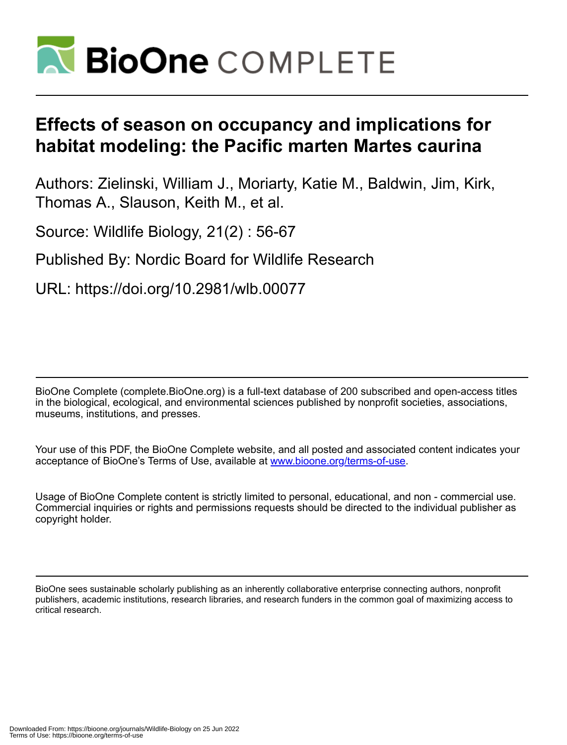

# **Effects of season on occupancy and implications for habitat modeling: the Pacific marten Martes caurina**

Authors: Zielinski, William J., Moriarty, Katie M., Baldwin, Jim, Kirk, Thomas A., Slauson, Keith M., et al.

Source: Wildlife Biology, 21(2) : 56-67

Published By: Nordic Board for Wildlife Research

URL: https://doi.org/10.2981/wlb.00077

BioOne Complete (complete.BioOne.org) is a full-text database of 200 subscribed and open-access titles in the biological, ecological, and environmental sciences published by nonprofit societies, associations, museums, institutions, and presses.

Your use of this PDF, the BioOne Complete website, and all posted and associated content indicates your acceptance of BioOne's Terms of Use, available at www.bioone.org/terms-of-use.

Usage of BioOne Complete content is strictly limited to personal, educational, and non - commercial use. Commercial inquiries or rights and permissions requests should be directed to the individual publisher as copyright holder.

BioOne sees sustainable scholarly publishing as an inherently collaborative enterprise connecting authors, nonprofit publishers, academic institutions, research libraries, and research funders in the common goal of maximizing access to critical research.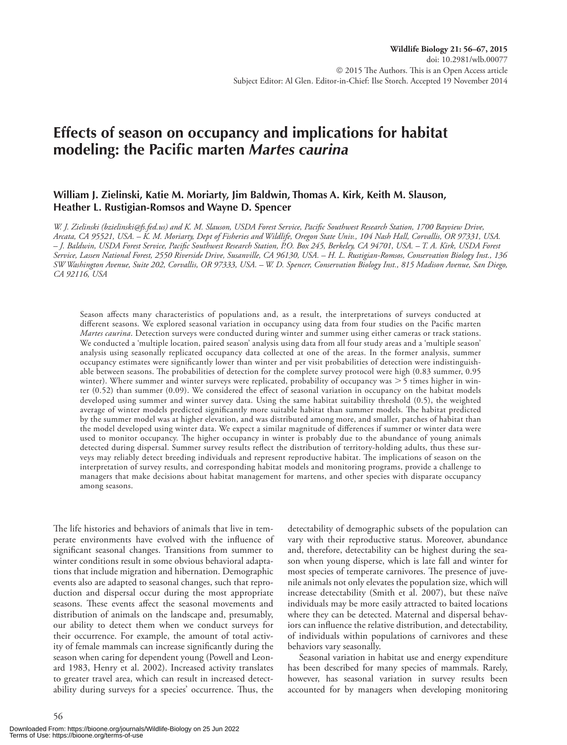## **Effects of season on occupancy and implications for habitat modeling: the Pacific marten** *Martes caurina*

## **William J. Zielinski, Katie M. Moriarty, Jim Baldwin, Thomas A. Kirk, Keith M. Slauson, Heather L. Rustigian-Romsos and Wayne D. Spencer**

*W. J. Zielinski (bzielinski@fs.fed.us) and K. M. Slauson, USDA Forest Service, Pacific Southwest Research Station, 1700 Bayview Drive, Arcata, CA 95521, USA. – K. M. Moriarty, Dept of Fisheries and Wildlife, Oregon State Univ., 104 Nash Hall, Corvallis, OR 97331, USA. – J. Baldwin, USDA Forest Service, Pacific Southwest Research Station, P.O. Box 245, Berkeley, CA 94701, USA. – T. A. Kirk, USDA Forest Service, Lassen National Forest, 2550 Riverside Drive, Susanville, CA 96130, USA. – H. L. Rustigian-Romsos, Conservation Biology Inst., 136 SW Washington Avenue, Suite 202, Corvallis, OR 97333, USA. – W. D. Spencer, Conservation Biology Inst., 815 Madison Avenue, San Diego, CA 92116, USA* 

Season affects many characteristics of populations and, as a result, the interpretations of surveys conducted at different seasons. We explored seasonal variation in occupancy using data from four studies on the Pacific marten *Martes caurina*. Detection surveys were conducted during winter and summer using either cameras or track stations. We conducted a 'multiple location, paired season' analysis using data from all four study areas and a 'multiple season' analysis using seasonally replicated occupancy data collected at one of the areas. In the former analysis, summer occupancy estimates were significantly lower than winter and per visit probabilities of detection were indistinguishable between seasons. The probabilities of detection for the complete survey protocol were high (0.83 summer, 0.95 winter). Where summer and winter surveys were replicated, probability of occupancy was  $>$  5 times higher in winter (0.52) than summer (0.09). We considered the effect of seasonal variation in occupancy on the habitat models developed using summer and winter survey data. Using the same habitat suitability threshold (0.5), the weighted average of winter models predicted significantly more suitable habitat than summer models. The habitat predicted by the summer model was at higher elevation, and was distributed among more, and smaller, patches of habitat than the model developed using winter data. We expect a similar magnitude of differences if summer or winter data were used to monitor occupancy. The higher occupancy in winter is probably due to the abundance of young animals detected during dispersal. Summer survey results reflect the distribution of territory-holding adults, thus these surveys may reliably detect breeding individuals and represent reproductive habitat. The implications of season on the interpretation of survey results, and corresponding habitat models and monitoring programs, provide a challenge to managers that make decisions about habitat management for martens, and other species with disparate occupancy among seasons.

The life histories and behaviors of animals that live in temperate environments have evolved with the influence of significant seasonal changes. Transitions from summer to winter conditions result in some obvious behavioral adaptations that include migration and hibernation. Demographic events also are adapted to seasonal changes, such that reproduction and dispersal occur during the most appropriate seasons. These events affect the seasonal movements and distribution of animals on the landscape and, presumably, our ability to detect them when we conduct surveys for their occurrence. For example, the amount of total activity of female mammals can increase significantly during the season when caring for dependent young (Powell and Leonard 1983, Henry et al. 2002). Increased activity translates to greater travel area, which can result in increased detectability during surveys for a species' occurrence. Thus, the

detectability of demographic subsets of the population can vary with their reproductive status. Moreover, abundance and, therefore, detectability can be highest during the season when young disperse, which is late fall and winter for most species of temperate carnivores. The presence of juvenile animals not only elevates the population size, which will increase detectability (Smith et al. 2007), but these naïve individuals may be more easily attracted to baited locations where they can be detected. Maternal and dispersal behaviors can influence the relative distribution, and detectability, of individuals within populations of carnivores and these behaviors vary seasonally.

Seasonal variation in habitat use and energy expenditure has been described for many species of mammals. Rarely, however, has seasonal variation in survey results been accounted for by managers when developing monitoring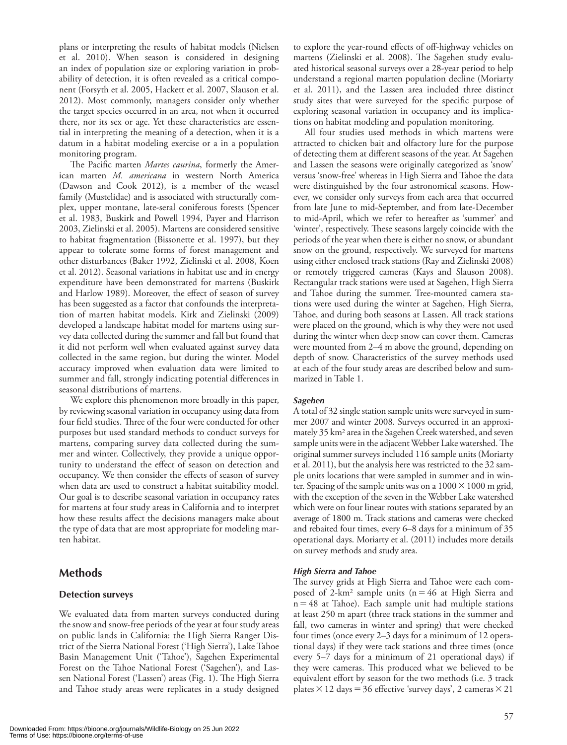plans or interpreting the results of habitat models (Nielsen et al. 2010). When season is considered in designing an index of population size or exploring variation in probability of detection, it is often revealed as a critical component (Forsyth et al. 2005, Hackett et al. 2007, Slauson et al. 2012). Most commonly, managers consider only whether the target species occurred in an area, not when it occurred there, nor its sex or age. Yet these characteristics are essential in interpreting the meaning of a detection, when it is a datum in a habitat modeling exercise or a in a population monitoring program.

The Pacific marten *Martes caurina*, formerly the American marten *M. americana* in western North America (Dawson and Cook 2012), is a member of the weasel family (Mustelidae) and is associated with structurally complex, upper montane, late-seral coniferous forests (Spencer et al. 1983, Buskirk and Powell 1994, Payer and Harrison 2003, Zielinski et al. 2005). Martens are considered sensitive to habitat fragmentation (Bissonette et al. 1997), but they appear to tolerate some forms of forest management and other disturbances (Baker 1992, Zielinski et al. 2008, Koen et al. 2012). Seasonal variations in habitat use and in energy expenditure have been demonstrated for martens (Buskirk and Harlow 1989). Moreover, the effect of season of survey has been suggested as a factor that confounds the interpretation of marten habitat models. Kirk and Zielinski (2009) developed a landscape habitat model for martens using survey data collected during the summer and fall but found that it did not perform well when evaluated against survey data collected in the same region, but during the winter. Model accuracy improved when evaluation data were limited to summer and fall, strongly indicating potential differences in seasonal distributions of martens.

We explore this phenomenon more broadly in this paper, by reviewing seasonal variation in occupancy using data from four field studies. Three of the four were conducted for other purposes but used standard methods to conduct surveys for martens, comparing survey data collected during the summer and winter. Collectively, they provide a unique opportunity to understand the effect of season on detection and occupancy. We then consider the effects of season of survey when data are used to construct a habitat suitability model. Our goal is to describe seasonal variation in occupancy rates for martens at four study areas in California and to interpret how these results affect the decisions managers make about the type of data that are most appropriate for modeling marten habitat.

## **Methods**

#### **Detection surveys**

We evaluated data from marten surveys conducted during the snow and snow-free periods of the year at four study areas on public lands in California: the High Sierra Ranger District of the Sierra National Forest ('High Sierra'), Lake Tahoe Basin Management Unit ('Tahoe'), Sagehen Experimental Forest on the Tahoe National Forest ('Sagehen'), and Lassen National Forest ('Lassen') areas (Fig. 1). The High Sierra and Tahoe study areas were replicates in a study designed to explore the year-round effects of off-highway vehicles on martens (Zielinski et al. 2008). The Sagehen study evaluated historical seasonal surveys over a 28-year period to help understand a regional marten population decline (Moriarty et al. 2011), and the Lassen area included three distinct study sites that were surveyed for the specific purpose of exploring seasonal variation in occupancy and its implications on habitat modeling and population monitoring.

All four studies used methods in which martens were attracted to chicken bait and olfactory lure for the purpose of detecting them at different seasons of the year. At Sagehen and Lassen the seasons were originally categorized as 'snow' versus 'snow-free' whereas in High Sierra and Tahoe the data were distinguished by the four astronomical seasons. However, we consider only surveys from each area that occurred from late June to mid-September, and from late-December to mid-April, which we refer to hereafter as 'summer' and 'winter', respectively. These seasons largely coincide with the periods of the year when there is either no snow, or abundant snow on the ground, respectively. We surveyed for martens using either enclosed track stations (Ray and Zielinski 2008) or remotely triggered cameras (Kays and Slauson 2008). Rectangular track stations were used at Sagehen, High Sierra and Tahoe during the summer. Tree-mounted camera stations were used during the winter at Sagehen, High Sierra, Tahoe, and during both seasons at Lassen. All track stations were placed on the ground, which is why they were not used during the winter when deep snow can cover them. Cameras were mounted from 2–4 m above the ground, depending on depth of snow. Characteristics of the survey methods used at each of the four study areas are described below and summarized in Table 1.

#### *Sagehen*

A total of 32 single station sample units were surveyed in summer 2007 and winter 2008. Surveys occurred in an approximately 35 km2 area in the Sagehen Creek watershed, and seven sample units were in the adjacent Webber Lake watershed. The original summer surveys included 116 sample units (Moriarty et al. 2011), but the analysis here was restricted to the 32 sample units locations that were sampled in summer and in winter. Spacing of the sample units was on a  $1000 \times 1000$  m grid, with the exception of the seven in the Webber Lake watershed which were on four linear routes with stations separated by an average of 1800 m. Track stations and cameras were checked and rebaited four times, every 6–8 days for a minimum of 35 operational days. Moriarty et al. (2011) includes more details on survey methods and study area.

#### *High Sierra and Tahoe*

The survey grids at High Sierra and Tahoe were each composed of 2-km<sup>2</sup> sample units ( $n = 46$  at High Sierra and  $n = 48$  at Tahoe). Each sample unit had multiple stations at least 250 m apart (three track stations in the summer and fall, two cameras in winter and spring) that were checked four times (once every 2–3 days for a minimum of 12 operational days) if they were tack stations and three times (once every 5–7 days for a minimum of 21 operational days) if they were cameras. This produced what we believed to be equivalent effort by season for the two methods (i.e. 3 track plates  $\times$  12 days = 36 effective 'survey days', 2 cameras  $\times$  21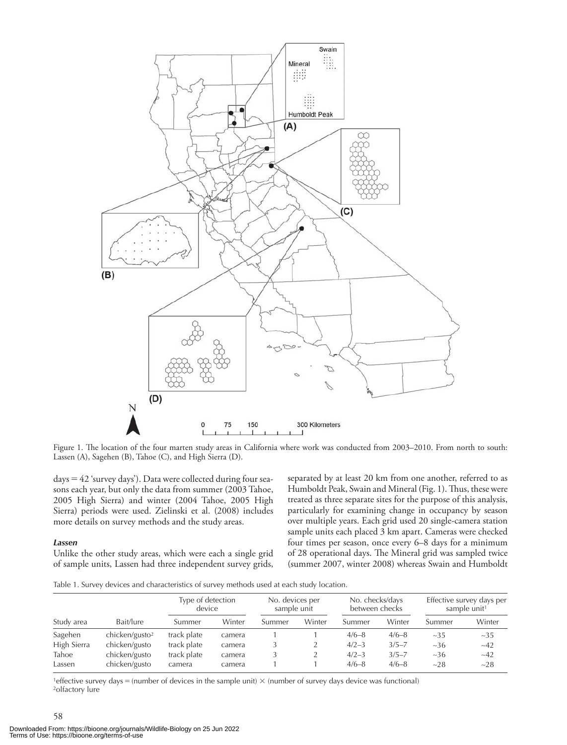

Figure 1. The location of the four marten study areas in California where work was conducted from 2003–2010. From north to south: Lassen (A), Sagehen (B), Tahoe (C), and High Sierra (D).

 $days = 42$  'survey days'). Data were collected during four seasons each year, but only the data from summer (2003 Tahoe, 2005 High Sierra) and winter (2004 Tahoe, 2005 High Sierra) periods were used. Zielinski et al. (2008) includes more details on survey methods and the study areas.

#### *Lassen*

58

Unlike the other study areas, which were each a single grid of sample units, Lassen had three independent survey grids, separated by at least 20 km from one another, referred to as Humboldt Peak, Swain and Mineral (Fig. 1). Thus, these were treated as three separate sites for the purpose of this analysis, particularly for examining change in occupancy by season over multiple years. Each grid used 20 single-camera station sample units each placed 3 km apart. Cameras were checked four times per season, once every 6–8 days for a minimum of 28 operational days. The Mineral grid was sampled twice (summer 2007, winter 2008) whereas Swain and Humboldt

Table 1. Survey devices and characteristics of survey methods used at each study location.

|             |                            | Type of detection<br>device |        | No. devices per<br>sample unit |        | No. checks/days<br>between checks |           |        | Effective survey days per<br>sample unit <sup>1</sup> |
|-------------|----------------------------|-----------------------------|--------|--------------------------------|--------|-----------------------------------|-----------|--------|-------------------------------------------------------|
| Study area  | Bait/lure                  | Summer                      | Winter | Summer                         | Winter | Summer                            | Winter    | Summer | Winter                                                |
| Sagehen     | chicken/gusto <sup>2</sup> | track plate                 | camera |                                |        | $4/6 - 8$                         | $4/6 - 8$ | $-35$  | $-35$                                                 |
| High Sierra | chicken/gusto              | track plate                 | camera |                                |        | $4/2 - 3$                         | $3/5 - 7$ | $-36$  | $-42$                                                 |
| Tahoe       | chicken/gusto              | track plate                 | camera |                                |        | $4/2 - 3$                         | $3/5 - 7$ | $-36$  | $-42$                                                 |
| Lassen      | chicken/gusto              | camera                      | camera |                                |        | $4/6 - 8$                         | $4/6 - 8$ | $-28$  | $-28$                                                 |

1effective survey days  $=$  (number of devices in the sample unit)  $\times$  (number of survey days device was functional) 2olfactory lure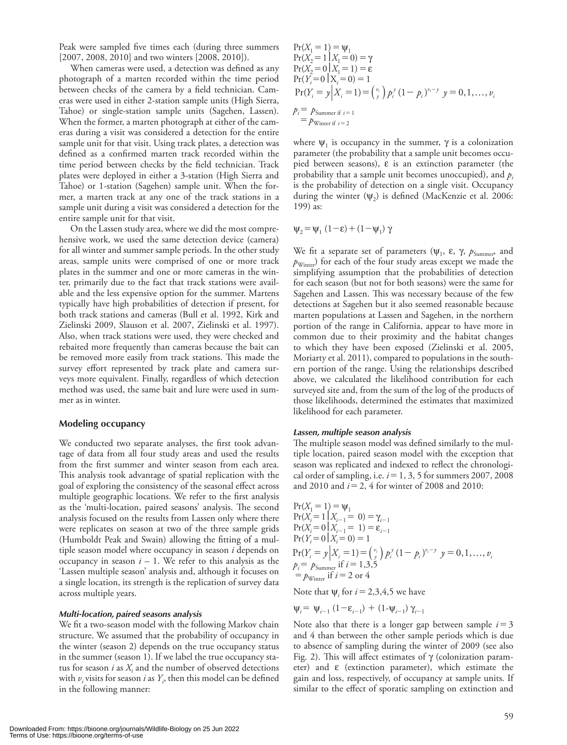Peak were sampled five times each (during three summers [2007, 2008, 2010] and two winters [2008, 2010]).

When cameras were used, a detection was defined as any photograph of a marten recorded within the time period between checks of the camera by a field technician. Cameras were used in either 2-station sample units (High Sierra, Tahoe) or single-station sample units (Sagehen, Lassen). When the former, a marten photograph at either of the cameras during a visit was considered a detection for the entire sample unit for that visit. Using track plates, a detection was defined as a confirmed marten track recorded within the time period between checks by the field technician. Track plates were deployed in either a 3-station (High Sierra and Tahoe) or 1-station (Sagehen) sample unit. When the former, a marten track at any one of the track stations in a sample unit during a visit was considered a detection for the entire sample unit for that visit.

On the Lassen study area, where we did the most comprehensive work, we used the same detection device (camera) for all winter and summer sample periods. In the other study areas, sample units were comprised of one or more track plates in the summer and one or more cameras in the winter, primarily due to the fact that track stations were available and the less expensive option for the summer. Martens typically have high probabilities of detection if present, for both track stations and cameras (Bull et al. 1992, Kirk and Zielinski 2009, Slauson et al. 2007, Zielinski et al. 1997). Also, when track stations were used, they were checked and rebaited more frequently than cameras because the bait can be removed more easily from track stations. This made the survey effort represented by track plate and camera surveys more equivalent. Finally, regardless of which detection method was used, the same bait and lure were used in summer as in winter.

#### **Modeling occupancy**

We conducted two separate analyses, the first took advantage of data from all four study areas and used the results from the first summer and winter season from each area. This analysis took advantage of spatial replication with the goal of exploring the consistency of the seasonal effect across multiple geographic locations. We refer to the first analysis as the 'multi-location, paired seasons' analysis. The second analysis focused on the results from Lassen only where there were replicates on season at two of the three sample grids (Humboldt Peak and Swain) allowing the fitting of a multiple season model where occupancy in season *i* depends on occupancy in season  $i - 1$ . We refer to this analysis as the 'Lassen multiple season' analysis and, although it focuses on a single location, its strength is the replication of survey data across multiple years.

#### *Multi-location, paired seasons analysis*

We fit a two-season model with the following Markov chain structure. We assumed that the probability of occupancy in the winter (season 2) depends on the true occupancy status in the summer (season 1). If we label the true occupancy status for season  $i$  as  $X_i$  and the number of observed detections with  $v_i$  visits for season *i* as  $Y_i$ , then this model can be defined in the following manner:

$$
Pr(X_1 = 1) = \psi_1
$$
  
\n
$$
Pr(X_2 = 1 | X_1 = 0) = \gamma
$$
  
\n
$$
Pr(X_2 = 0 | X_1 = 1) = \varepsilon
$$
  
\n
$$
Pr(Y_i = 0 | X_i = 0) = 1
$$
  
\n
$$
Pr(Y_i = y | X_i = 1) = {v_i \choose y} p_i^y (1 - p_i)^{v_i - y} y = 0, 1, ..., v_i
$$
  
\n
$$
p_i = p_{\text{Summer if } i = 1}
$$
  
\n
$$
= p_{\text{Winter if } i = 2}
$$

where  $\Psi_1$  is occupancy in the summer,  $\gamma$  is a colonization parameter (the probability that a sample unit becomes occupied between seasons),  $\varepsilon$  is an extinction parameter (the probability that a sample unit becomes unoccupied), and  $p_i$ is the probability of detection on a single visit. Occupancy during the winter  $(\psi_2)$  is defined (MacKenzie et al. 2006: 199) as:

$$
\psi_2 = \psi_1 (1 - \varepsilon) + (1 - \psi_1) \gamma
$$

We fit a separate set of parameters ( $\psi_1$ ,  $\varepsilon$ ,  $\gamma$ ,  $p_{\text{Summer}}$ , and  $p_{\text{Winter}}$ ) for each of the four study areas except we made the simplifying assumption that the probabilities of detection for each season (but not for both seasons) were the same for Sagehen and Lassen. This was necessary because of the few detections at Sagehen but it also seemed reasonable because marten populations at Lassen and Sagehen, in the northern portion of the range in California, appear to have more in common due to their proximity and the habitat changes to which they have been exposed (Zielinski et al. 2005, Moriarty et al. 2011), compared to populations in the southern portion of the range. Using the relationships described above, we calculated the likelihood contribution for each surveyed site and, from the sum of the log of the products of those likelihoods, determined the estimates that maximized likelihood for each parameter.

#### *Lassen, multiple season analysis*

The multiple season model was defined similarly to the multiple location, paired season model with the exception that season was replicated and indexed to reflect the chronological order of sampling, i.e.  $i = 1, 3, 5$  for summers 2007, 2008 and 2010 and  $i = 2$ , 4 for winter of 2008 and 2010:

$$
Pr(X_i = 1) = \Psi_1
$$
  
\n
$$
Pr(X_i = 1 | X_{i-1} = 0) = \gamma_{i-1}
$$
  
\n
$$
Pr(X_i = 0 | X_{i-1} = 1) = \varepsilon_{i-1}
$$
  
\n
$$
Pr(Y_i = 0 | X_i = 0) = 1
$$
  
\n
$$
Pr(Y_i = y | X_i = 1) = {v_i \choose y} p_i^y (1 - p_i)^{v_i - y} y = 0, 1, ..., v_i
$$
  
\n
$$
p_i = p_{\text{Summer}} \text{ if } i = 1,3,5
$$
  
\n
$$
= p_{\text{Winter}} \text{ if } i = 2 \text{ or } 4
$$

Note that  $\Psi_i$  for  $i = 2,3,4,5$  we have

$$
\psi_i = \psi_{i-1} (1 - \varepsilon_{i-1}) + (1 - \psi_{i-1}) \gamma_{i-1}
$$

Note also that there is a longer gap between sample  $i = 3$ and 4 than between the other sample periods which is due to absence of sampling during the winter of 2009 (see also Fig. 2). This will affect estimates of  $\gamma$  (colonization parameter) and  $\varepsilon$  (extinction parameter), which estimate the gain and loss, respectively, of occupancy at sample units. If similar to the effect of sporatic sampling on extinction and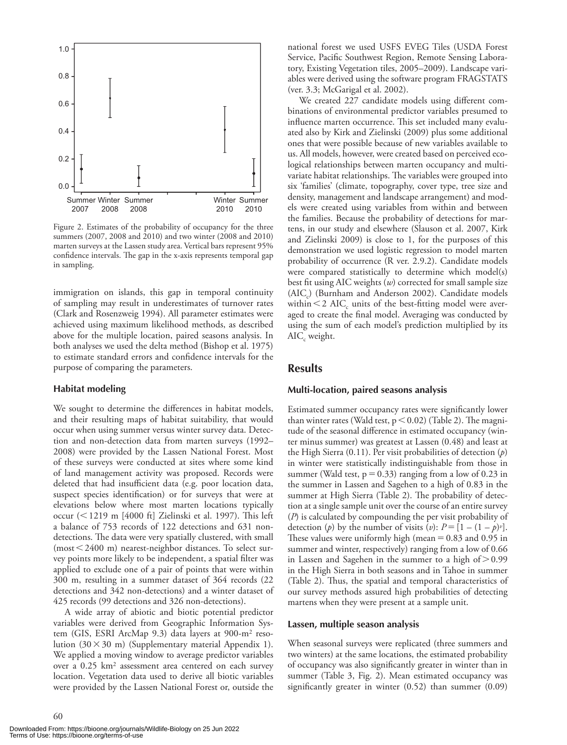

Figure 2. Estimates of the probability of occupancy for the three summers (2007, 2008 and 2010) and two winter (2008 and 2010) marten surveys at the Lassen study area. Vertical bars represent 95% confidence intervals. The gap in the x-axis represents temporal gap in sampling.

immigration on islands, this gap in temporal continuity of sampling may result in underestimates of turnover rates (Clark and Rosenzweig 1994). All parameter estimates were achieved using maximum likelihood methods, as described above for the multiple location, paired seasons analysis. In both analyses we used the delta method (Bishop et al. 1975) to estimate standard errors and confidence intervals for the purpose of comparing the parameters.

#### **Habitat modeling**

We sought to determine the differences in habitat models, and their resulting maps of habitat suitability, that would occur when using summer versus winter survey data. Detection and non-detection data from marten surveys (1992– 2008) were provided by the Lassen National Forest. Most of these surveys were conducted at sites where some kind of land management activity was proposed. Records were deleted that had insufficient data (e.g. poor location data, suspect species identification) or for surveys that were at elevations below where most marten locations typically occur ( 1219 m [4000 ft] Zielinski et al. 1997). This left a balance of 753 records of 122 detections and 631 nondetections. The data were very spatially clustered, with small  $(most < 2400 \text{ m})$  nearest-neighbor distances. To select survey points more likely to be independent, a spatial filter was applied to exclude one of a pair of points that were within 300 m, resulting in a summer dataset of 364 records (22 detections and 342 non-detections) and a winter dataset of 425 records (99 detections and 326 non-detections).

A wide array of abiotic and biotic potential predictor variables were derived from Geographic Information System (GIS, ESRI ArcMap 9.3) data layers at 900-m2 resolution  $(30 \times 30 \text{ m})$  (Supplementary material Appendix 1). We applied a moving window to average predictor variables over a 0.25 km2 assessment area centered on each survey location. Vegetation data used to derive all biotic variables were provided by the Lassen National Forest or, outside the

national forest we used USFS EVEG Tiles (USDA Forest Service, Pacific Southwest Region, Remote Sensing Laboratory, Existing Vegetation tiles, 2005–2009). Landscape variables were derived using the software program FRAGSTATS (ver. 3.3; McGarigal et al. 2002).

We created 227 candidate models using different combinations of environmental predictor variables presumed to influence marten occurrence. This set included many evaluated also by Kirk and Zielinski (2009) plus some additional ones that were possible because of new variables available to us. All models, however, were created based on perceived ecological relationships between marten occupancy and multivariate habitat relationships. The variables were grouped into six 'families' (climate, topography, cover type, tree size and density, management and landscape arrangement) and models were created using variables from within and between the families. Because the probability of detections for martens, in our study and elsewhere (Slauson et al. 2007, Kirk and Zielinski 2009) is close to 1, for the purposes of this demonstration we used logistic regression to model marten probability of occurrence (R ver. 2.9.2). Candidate models were compared statistically to determine which model(s) best fit using AIC weights (*w*) corrected for small sample size  $(AIC<sub>c</sub>)$  (Burnham and Anderson 2002). Candidate models within  $\leq$  2 AIC<sub>c</sub> units of the best-fitting model were averaged to create the final model. Averaging was conducted by using the sum of each model's prediction multiplied by its  $AIC_c$  weight.

## **Results**

#### **Multi-location, paired seasons analysis**

Estimated summer occupancy rates were significantly lower than winter rates (Wald test,  $p < 0.02$ ) (Table 2). The magnitude of the seasonal difference in estimated occupancy (winter minus summer) was greatest at Lassen (0.48) and least at the High Sierra (0.11). Per visit probabilities of detection (*p*) in winter were statistically indistinguishable from those in summer (Wald test,  $p = 0.33$ ) ranging from a low of 0.23 in the summer in Lassen and Sagehen to a high of 0.83 in the summer at High Sierra (Table 2). The probability of detection at a single sample unit over the course of an entire survey (*P*) is calculated by compounding the per visit probability of detection (*p*) by the number of visits (*v*):  $P = [1 - (1 - p)^{v}]$ . These values were uniformly high (mean  $= 0.83$  and 0.95 in summer and winter, respectively) ranging from a low of 0.66 in Lassen and Sagehen in the summer to a high of  $> 0.99$ in the High Sierra in both seasons and in Tahoe in summer (Table 2). Thus, the spatial and temporal characteristics of our survey methods assured high probabilities of detecting martens when they were present at a sample unit.

#### **Lassen, multiple season analysis**

When seasonal surveys were replicated (three summers and two winters) at the same locations, the estimated probability of occupancy was also significantly greater in winter than in summer (Table 3, Fig. 2). Mean estimated occupancy was significantly greater in winter (0.52) than summer (0.09)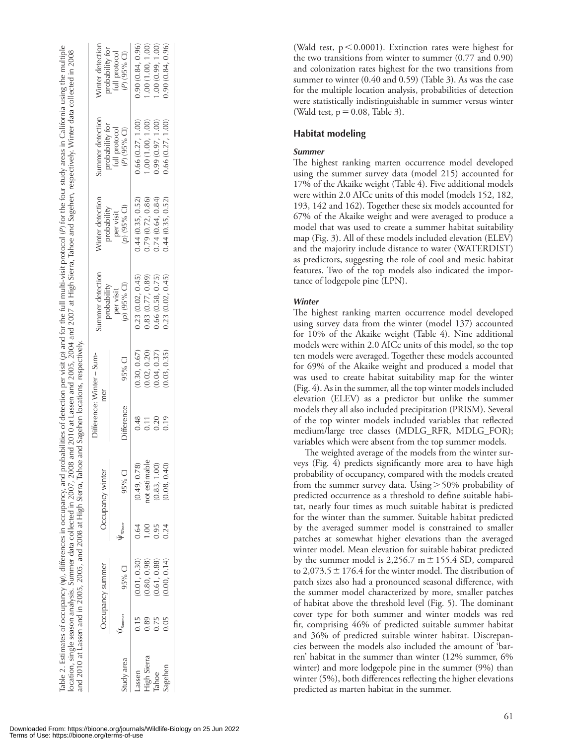| e multipl<br>ibilities of detection per visit (p) and for the full multi-visit protocol (P) for the four study areas in California using the<br>Table 2. Estimates of occupancy (v), differences in occupancy, and | 008 and 2010 at Lassen and 2005, 2004 and 2007 at High Sierra, Tahoe and Sagehen, respectively. Winter data collected in 2008<br>location, single season analysis. Summer data collected in 2007, 20 | hoe and Sageher<br>and 2010 at Lassen and in 2005, 2005, and 2008 at High Sierra, Tal | $\sum_{i=1}^{n} f_i$ |
|--------------------------------------------------------------------------------------------------------------------------------------------------------------------------------------------------------------------|------------------------------------------------------------------------------------------------------------------------------------------------------------------------------------------------------|---------------------------------------------------------------------------------------|----------------------|
|--------------------------------------------------------------------------------------------------------------------------------------------------------------------------------------------------------------------|------------------------------------------------------------------------------------------------------------------------------------------------------------------------------------------------------|---------------------------------------------------------------------------------------|----------------------|

|             |        |                  |        |                  |                   | Difference: Winter – Sum- | ummer detection           | Vinter detection         | ummer detection                                  | Vinter detection                                   |
|-------------|--------|------------------|--------|------------------|-------------------|---------------------------|---------------------------|--------------------------|--------------------------------------------------|----------------------------------------------------|
|             |        | Occupancy summer |        | Occupancy winter |                   | mer                       | probability               | probability              |                                                  |                                                    |
| tudy area   | Summer | 95% CI           | Winter | 95% CI           | Difference        | 95% CI                    | (D) (95% Cl)<br>per visit | p) (95% Cl)<br>per visit | probability for<br>full protocol<br>(P) (95% Cl) | probability for<br>full protocol<br>$(P)$ (95% CI) |
| assen       | 7.15   | 0.01, 0.30)      |        | 0.49, 0.78       | 0.48              | 0.30, 0.67                | 0.23(0.02, 0.45)          | 0.44(0.35, 0.52)         | 0.66(0.27, 1.00)                                 | 0.90(0.84, 0.96)                                   |
| ligh Sierra |        | 0.80, 0.98       |        | ot estimable     | $\overline{0.11}$ | 0.02, 0.20)               | 0.83 (0.77, 0.89)         | 0.79 (0.72, 0.86)        | .00(1.00, 1.00)                                  | .00(1.00, 1.00)                                    |
| ahoe        | 0.75   | 0.61, 0.88       | 0.95   | 0.83, 1.00       | 0.20              | (0.04, 0.37)              | 0.66(0.58, 0.75)          | 0.74(0.64, 0.84)         | 0.99(0.97, 1.00)                                 | .00(0.99, 1.00)                                    |
|             | 0.05   | 0.00, 0.14       |        | 0.08, 0.40       | 0.19              | 0.03, 0.35)               | 0.23(0.02, 0.45)          | 3.44(0.35, 0.52)         | 0.66(0.27, 1.00)                                 | 0.90(0.84, 0.96)                                   |
|             |        |                  |        |                  |                   |                           |                           |                          |                                                  |                                                    |
|             |        |                  |        |                  |                   |                           |                           |                          |                                                  |                                                    |

(Wald test,  $p < 0.0001$ ). Extinction rates were highest for the two transitions from winter to summer (0.77 and 0.90) and colonization rates highest for the two transitions from summer to winter (0.40 and 0.59) (Table 3). As was the case for the multiple location analysis, probabilities of detection were statistically indistinguishable in summer versus winter (Wald test,  $p = 0.08$ , Table 3).

## **Habitat modeling**

## *Summer*

The highest ranking marten occurrence model developed using the summer survey data (model 215) accounted for 17% of the Akaike weight (Table 4). Five additional models were within 2.0 AICc units of this model (models 152, 182, 193, 142 and 162). Together these six models accounted for 67% of the Akaike weight and were averaged to produce a model that was used to create a summer habitat suitability map (Fig. 3). All of these models included elevation (ELEV) and the majority include distance to water (WATERDIST) as predictors, suggesting the role of cool and mesic habitat features. Two of the top models also indicated the importance of lodgepole pine (LPN).

### *Winter*

The highest ranking marten occurrence model developed using survey data from the winter (model 137) accounted for 10% of the Akaike weight (Table 4). Nine additional models were within 2.0 AICc units of this model, so the top ten models were averaged. Together these models accounted for 69% of the Akaike weight and produced a model that was used to create habitat suitability map for the winter (Fig. 4). As in the summer, all the top winter models included elevation (ELEV) as a predictor but unlike the summer models they all also included precipitation (PRISM). Several of the top winter models included variables that reflected medium/large tree classes (MDLG\_RFR, MDLG\_FOR); variables which were absent from the top summer models.

The weighted average of the models from the winter surveys (Fig. 4) predicts significantly more area to have high probability of occupancy, compared with the models created from the summer survey data. Using  $> 50\%$  probability of predicted occurrence as a threshold to define suitable habitat, nearly four times as much suitable habitat is predicted for the winter than the summer. Suitable habitat predicted by the averaged summer model is constrained to smaller patches at somewhat higher elevations than the averaged winter model. Mean elevation for suitable habitat predicted by the summer model is 2,256.7 m  $\pm$  155.4 SD, compared to 2,073.5  $\pm$  176.4 for the winter model. The distribution of patch sizes also had a pronounced seasonal difference, with the summer model characterized by more, smaller patches of habitat above the threshold level (Fig. 5). The dominant cover type for both summer and winter models was red fir, comprising 46% of predicted suitable summer habitat and 36% of predicted suitable winter habitat. Discrepancies between the models also included the amount of 'barren' habitat in the summer than winter (12% summer, 6% winter) and more lodgepole pine in the summer (9%) than winter (5%), both differences reflecting the higher elevations predicted as marten habitat in the summer.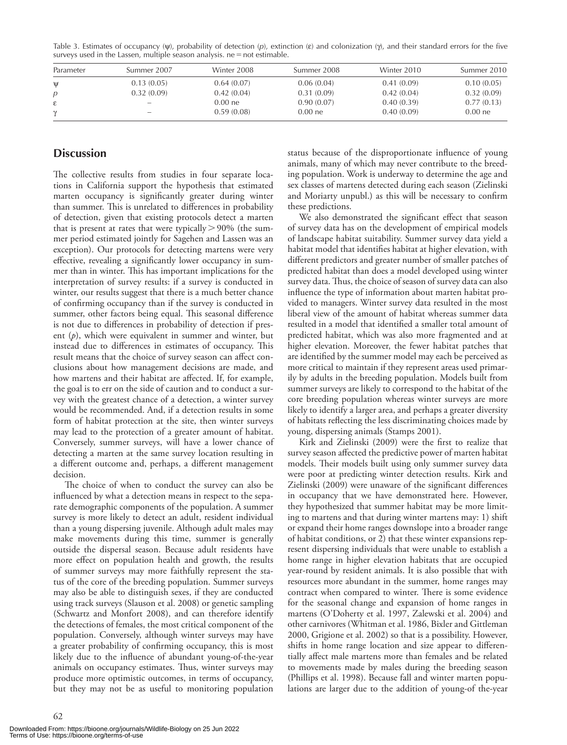|              | $300 \text{ V} \text{C}$ and $110 \text{ V} \text{C}$ and $110 \text{ V} \text{C}$ and $100 \text{ V} \text{C}$ and $100 \text{ V} \text{C}$ and $100 \text{ V} \text{C}$ |             |             |             |             |
|--------------|---------------------------------------------------------------------------------------------------------------------------------------------------------------------------|-------------|-------------|-------------|-------------|
| Parameter    | Summer 2007                                                                                                                                                               | Winter 2008 | Summer 2008 | Winter 2010 | Summer 2010 |
| $\mathsf{U}$ | 0.13(0.05)                                                                                                                                                                | 0.64(0.07)  | 0.06(0.04)  | 0.41(0.09)  | 0.10(0.05)  |
| p            | 0.32(0.09)                                                                                                                                                                | 0.42(0.04)  | 0.31(0.09)  | 0.42(0.04)  | 0.32(0.09)  |
|              |                                                                                                                                                                           | $0.00$ ne   | 0.90(0.07)  | 0.40(0.39)  | 0.77(0.13)  |
|              | -                                                                                                                                                                         | 0.59(0.08)  | 0.00 ne     | 0.40(0.09)  | $0.00$ ne   |

Table 3. Estimates of occupancy ( $\psi$ ), probability of detection ( $\rho$ ), extinction ( $\varepsilon$ ) and colonization ( $\gamma$ ), and their standard errors for the five  $s$ urveys used in the Lassen, multiple season analysis. ne  $=$  not estimable.

## **Discussion**

The collective results from studies in four separate locations in California support the hypothesis that estimated marten occupancy is significantly greater during winter than summer. This is unrelated to differences in probability of detection, given that existing protocols detect a marten that is present at rates that were typically  $>$  90% (the summer period estimated jointly for Sagehen and Lassen was an exception). Our protocols for detecting martens were very effective, revealing a significantly lower occupancy in summer than in winter. This has important implications for the interpretation of survey results: if a survey is conducted in winter, our results suggest that there is a much better chance of confirming occupancy than if the survey is conducted in summer, other factors being equal. This seasonal difference is not due to differences in probability of detection if present (*p*), which were equivalent in summer and winter, but instead due to differences in estimates of occupancy. This result means that the choice of survey season can affect conclusions about how management decisions are made, and how martens and their habitat are affected. If, for example, the goal is to err on the side of caution and to conduct a survey with the greatest chance of a detection, a winter survey would be recommended. And, if a detection results in some form of habitat protection at the site, then winter surveys may lead to the protection of a greater amount of habitat. Conversely, summer surveys, will have a lower chance of detecting a marten at the same survey location resulting in a different outcome and, perhaps, a different management decision.

The choice of when to conduct the survey can also be influenced by what a detection means in respect to the separate demographic components of the population. A summer survey is more likely to detect an adult, resident individual than a young dispersing juvenile. Although adult males may make movements during this time, summer is generally outside the dispersal season. Because adult residents have more effect on population health and growth, the results of summer surveys may more faithfully represent the status of the core of the breeding population. Summer surveys may also be able to distinguish sexes, if they are conducted using track surveys (Slauson et al. 2008) or genetic sampling (Schwartz and Monfort 2008), and can therefore identify the detections of females, the most critical component of the population. Conversely, although winter surveys may have a greater probability of confirming occupancy, this is most likely due to the influence of abundant young-of-the-year animals on occupancy estimates. Thus, winter surveys may produce more optimistic outcomes, in terms of occupancy, but they may not be as useful to monitoring population status because of the disproportionate influence of young animals, many of which may never contribute to the breeding population. Work is underway to determine the age and sex classes of martens detected during each season (Zielinski and Moriarty unpubl.) as this will be necessary to confirm these predictions.

We also demonstrated the significant effect that season of survey data has on the development of empirical models of landscape habitat suitability. Summer survey data yield a habitat model that identifies habitat at higher elevation, with different predictors and greater number of smaller patches of predicted habitat than does a model developed using winter survey data. Thus, the choice of season of survey data can also influence the type of information about marten habitat provided to managers. Winter survey data resulted in the most liberal view of the amount of habitat whereas summer data resulted in a model that identified a smaller total amount of predicted habitat, which was also more fragmented and at higher elevation. Moreover, the fewer habitat patches that are identified by the summer model may each be perceived as more critical to maintain if they represent areas used primarily by adults in the breeding population. Models built from summer surveys are likely to correspond to the habitat of the core breeding population whereas winter surveys are more likely to identify a larger area, and perhaps a greater diversity of habitats reflecting the less discriminating choices made by young, dispersing animals (Stamps 2001).

Kirk and Zielinski (2009) were the first to realize that survey season affected the predictive power of marten habitat models. Their models built using only summer survey data were poor at predicting winter detection results. Kirk and Zielinski (2009) were unaware of the significant differences in occupancy that we have demonstrated here. However, they hypothesized that summer habitat may be more limiting to martens and that during winter martens may: 1) shift or expand their home ranges downslope into a broader range of habitat conditions, or 2) that these winter expansions represent dispersing individuals that were unable to establish a home range in higher elevation habitats that are occupied year-round by resident animals. It is also possible that with resources more abundant in the summer, home ranges may contract when compared to winter. There is some evidence for the seasonal change and expansion of home ranges in martens (O'Doherty et al. 1997, Zalewski et al. 2004) and other carnivores (Whitman et al. 1986, Bixler and Gittleman 2000, Grigione et al. 2002) so that is a possibility. However, shifts in home range location and size appear to differentially affect male martens more than females and be related to movements made by males during the breeding season (Phillips et al. 1998). Because fall and winter marten populations are larger due to the addition of young-of the-year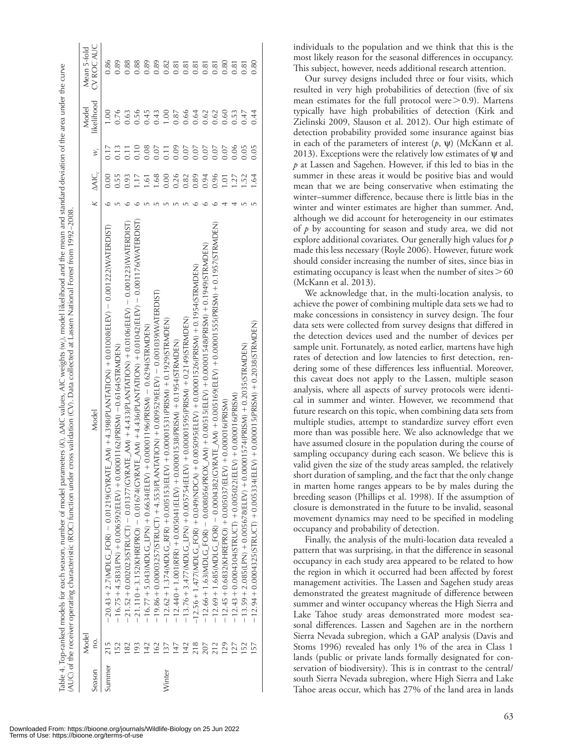|        | Model          |                                                                                                                                                     |                |                   | Model          | Mean 5-fold |
|--------|----------------|-----------------------------------------------------------------------------------------------------------------------------------------------------|----------------|-------------------|----------------|-------------|
| Season | ρ.             | Model                                                                                                                                               | $\Delta AIC_c$ | $\ddot{x}$        | likelihood     | CV ROC AUC  |
| Summer | 215            |                                                                                                                                                     | 0.00           |                   | $\frac{8}{10}$ | 0.86        |
|        |                | 16.75 + 4.583(LPN)   0.0000001162(PRISM)   0.6164(STRMDEN)                                                                                          | 0.55           | 0.13              |                | 0.89        |
|        |                | 21.52 + 0.002023(STRUCT) - 0.01377(GYRATE_AM) + 4.433(PLANTATION) + 0.0106(ELEV) - 0.001223(WATERDIST)                                              | 0.93           |                   | 0.63           | 0.88        |
|        | 93             | $-21.170 + 3.152$ (KHREPRO) $-$ 0.016 $74$ (GYRATE_AM) $+$ 4.436(PLATION) $+$ 0.01042(ELEV) $-$ 0.01176(VVATERDIST)                                 | $\frac{1}{2}$  | 0.10              | 0.56           | 0.88        |
|        |                | $+0.00001196$ (PRISM) $-0.6294$ (STRMDEN)<br>$-16.77 + 5.043(MDLG LPM) + 0.6634(ELEV)$                                                              | 1.61           | 0.08              | 0.45           | 0.89        |
|        |                | $-19.86 + 0.00003257(5TRUCT) + 4.553(PLANTATION + 0.009529(ELEV) - 0.0010309(WATERDIST)$                                                            | 1.68           | 0.07              | 0.43           | 0.89        |
| Winter |                | $-12.62 + 1.374$ (MDLC RFR) $+$ 0.005153(ELEV) $+$ 0.00001531(PRISM) $+$ 0.1929(STRMDEN)                                                            | 0.00           | $\overline{0.11}$ | 00.1           | 0.82        |
|        |                | $-12.440 + 1.001$ (RFR) $+0.005041$ (ELEV) $+0.00001538$ (PRISMP $\lambda$ ) $+0.1954$ (STR MD EN)                                                  | 0.26           | 0.09              | 0.87           | 0.81        |
|        | $\frac{42}{3}$ | $-13.76 + 3.477 \times 101$ DLC $\_$ LPN) $+ 0.005754$ (ELEV) $+ 0.0001595$ (PRIS(PRISM) $- 0.21479$ (STRMDEN)                                      | 0.82           | 0.07              | 0.66           | 0.81        |
|        |                | –12.56+1.477(WDLC_FOR) +0.049(NDCA) +0.0050ELEV) +0.00001526(PRISM) +0.1954(STRMDEN)                                                                | 0.89           | 0.07              | 0.64           | 0.81        |
|        | 207            | $-12.66 + 1.63(\mathrm{MDLC\_FOR}) - 0.008056(\mathrm{PROX\_AM}) + 0.00515(\mathrm{ELEV}) + 0.00001548(\mathrm{PRISM}) + 0.1949(\mathrm{STRMDEFN})$ | 0.94           | 0.07              | 0.62           | 0.81        |
|        | 212            | 1 − 12.69 + 1 .685(NDLC_FOR) − 0.000132(CYRATE_AM) + 0.000100015155(PRISM) + 0.1957(STRNDEN) − 12.69 + 1.69 + 1                                     | 0.96           | 0.07              | 0.62           | 0.81        |
|        | 129            | $-12.45 + 0.6832$ (KHREPRO) + $0.005037$ (ELEV) + $0.000016$ (PRISM)                                                                                | 1.01           | 0.07              | 0.60           | 0.80        |
|        |                | $EV$ ) + 0.000016(PRISM)<br>$-12.43 + 0.0004304$ (STRUCT) + 0.005022(EL                                                                             | 1.27           | 0.06              | 0.53           | 0.81        |
|        | 152            | $-13.59 + 2.085$ (LPN) + 0.005678(ELEV) + 0.0001574(PRISM) + 0.2035(STRMDEN)                                                                        | 1.52           | 0.05              | 0.47           | 0.81        |
|        | 157            | $E$ V) + 0.000015(PRISM) + 0.2038(STRMDEN)<br>$-12.94 + 0.0004325$ (STRUCT) + 0.005334(EL                                                           | $-64$          | 0.05              | 0.44           | 0.80        |
|        |                |                                                                                                                                                     |                |                   |                |             |

Table 4. Top-ranked models for each season, number of model parameters (K).  $\Delta$ AJC values, AJC weights (w), model likelihood and the mean and standard deviation of the area under the curve

Our survey designs included three or four visits, which resulted in very high probabilities of detection (five of six mean estimates for the full protocol were  $> 0.9$ ). Martens typically have high probabilities of detection (Kirk and Zielinski 2009, Slauson et al. 2012). Our high estimate of detection probability provided some insurance against bias in each of the parameters of interest  $(p, \psi)$  (McKann et al. 2013). Exceptions were the relatively low estimates of  $\psi$  and *p* at Lassen and Sagehen. However, if this led to bias in the summer in these areas it would be positive bias and would mean that we are being conservative when estimating the winter–summer difference, because there is little bias in the winter and winter estimates are higher than summer. And, although we did account for heterogeneity in our estimates of *p* by accounting for season and study area, we did not explore additional covariates. Our generally high values for *p* made this less necessary (Royle 2006). However, future work should consider increasing the number of sites, since bias in estimating occupancy is least when the number of sites  $> 60$ (McKann et al. 2013).

We acknowledge that, in the multi-location analysis, to achieve the power of combining multiple data sets we had to make concessions in consistency in survey design. The four data sets were collected from survey designs that differed in the detection devices used and the number of devices per sample unit. Fortunately, as noted earlier, martens have high rates of detection and low latencies to first detection, rendering some of these differences less influential. Moreover, this caveat does not apply to the Lassen, multiple season analysis, where all aspects of survey protocols were identical in summer and winter. However, we recommend that future research on this topic, when combining data sets from multiple studies, attempt to standardize survey effort even more than was possible here. We also acknowledge that we have assumed closure in the population during the course of sampling occupancy during each season. We believe this is valid given the size of the study areas sampled, the relatively short duration of sampling, and the fact that the only change in marten home ranges appears to be by males during the breeding season (Phillips et al. 1998). If the assumption of closure is demonstrated in the future to be invalid, seasonal movement dynamics may need to be specified in modeling occupancy and probability of detection.

Finally, the analysis of the multi-location data revealed a pattern that was surprising, in that the difference in seasonal occupancy in each study area appeared to be related to how the region in which it occurred had been affected by forest management activities. The Lassen and Sagehen study areas demonstrated the greatest magnitude of difference between summer and winter occupancy whereas the High Sierra and Lake Tahoe study areas demonstrated more modest seasonal differences. Lassen and Sagehen are in the northern Sierra Nevada subregion, which a GAP analysis (Davis and Stoms 1996) revealed has only 1% of the area in Class 1 lands (public or private lands formally designated for conservation of biodiversity). This is in contrast to the central/ south Sierra Nevada subregion, where High Sierra and Lake Tahoe areas occur, which has 27% of the land area in lands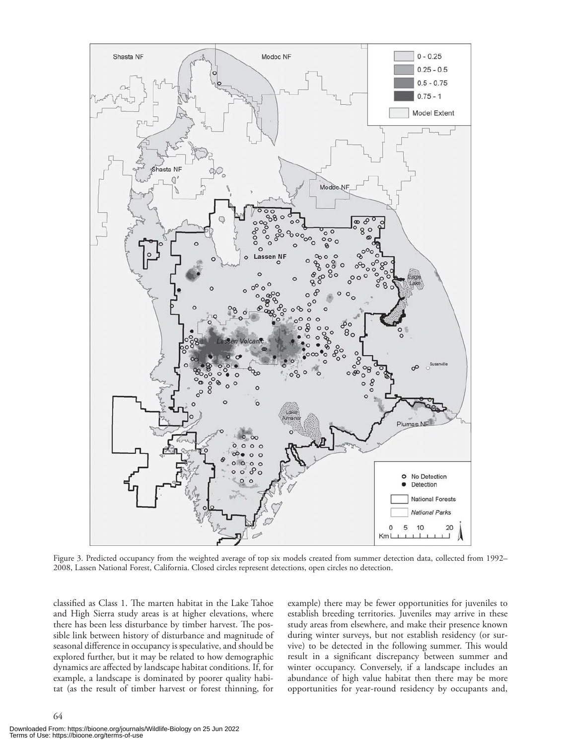

Figure 3. Predicted occupancy from the weighted average of top six models created from summer detection data, collected from 1992– 2008, Lassen National Forest, California. Closed circles represent detections, open circles no detection.

classified as Class 1. The marten habitat in the Lake Tahoe and High Sierra study areas is at higher elevations, where there has been less disturbance by timber harvest. The possible link between history of disturbance and magnitude of seasonal difference in occupancy is speculative, and should be explored further, but it may be related to how demographic dynamics are affected by landscape habitat conditions. If, for example, a landscape is dominated by poorer quality habitat (as the result of timber harvest or forest thinning, for example) there may be fewer opportunities for juveniles to establish breeding territories. Juveniles may arrive in these study areas from elsewhere, and make their presence known during winter surveys, but not establish residency (or survive) to be detected in the following summer. This would result in a significant discrepancy between summer and winter occupancy. Conversely, if a landscape includes an abundance of high value habitat then there may be more opportunities for year-round residency by occupants and,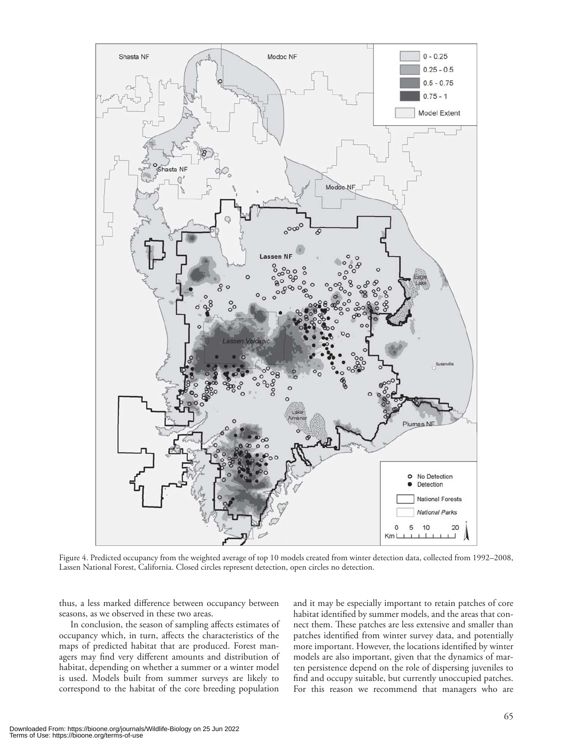

Figure 4. Predicted occupancy from the weighted average of top 10 models created from winter detection data, collected from 1992–2008, Lassen National Forest, California. Closed circles represent detection, open circles no detection.

thus, a less marked difference between occupancy between seasons, as we observed in these two areas.

In conclusion, the season of sampling affects estimates of occupancy which, in turn, affects the characteristics of the maps of predicted habitat that are produced. Forest managers may find very different amounts and distribution of habitat, depending on whether a summer or a winter model is used. Models built from summer surveys are likely to correspond to the habitat of the core breeding population

and it may be especially important to retain patches of core habitat identified by summer models, and the areas that connect them. These patches are less extensive and smaller than patches identified from winter survey data, and potentially more important. However, the locations identified by winter models are also important, given that the dynamics of marten persistence depend on the role of dispersing juveniles to find and occupy suitable, but currently unoccupied patches. For this reason we recommend that managers who are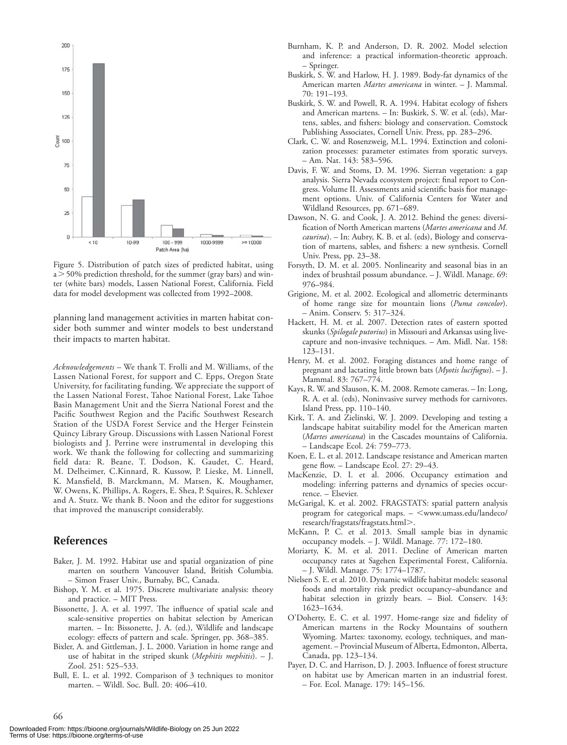

Figure 5. Distribution of patch sizes of predicted habitat, using  $a > 50\%$  prediction threshold, for the summer (gray bars) and winter (white bars) models, Lassen National Forest, California. Field data for model development was collected from 1992–2008.

planning land management activities in marten habitat consider both summer and winter models to best understand their impacts to marten habitat.

*Acknowledgements –* We thank T. Frolli and M. Williams, of the Lassen National Forest, for support and C. Epps, Oregon State University, for facilitating funding. We appreciate the support of the Lassen National Forest, Tahoe National Forest, Lake Tahoe Basin Management Unit and the Sierra National Forest and the Pacific Southwest Region and the Pacific Southwest Research Station of the USDA Forest Service and the Herger Feinstein Quincy Library Group. Discussions with Lassen National Forest biologists and J. Perrine were instrumental in developing this work. We thank the following for collecting and summarizing field data: R. Beane, T. Dodson, K. Gaudet, C. Heard, M. Delheimer, C.Kinnard, R. Kussow, P. Lieske, M. Linnell, K. Mansfield, B. Marckmann, M. Matsen, K. Moughamer, W. Owens, K. Phillips, A. Rogers, E. Shea, P. Squires, R. Schlexer and A. Stutz. We thank B. Noon and the editor for suggestions that improved the manuscript considerably.

## **References**

- Baker, J. M. 1992. Habitat use and spatial organization of pine marten on southern Vancouver Island, British Columbia. – Simon Fraser Univ., Burnaby, BC, Canada.
- Bishop, Y. M. et al. 1975. Discrete multivariate analysis: theory and practice. – MIT Press.
- Bissonette, J. A. et al. 1997. The influence of spatial scale and scale-sensitive properties on habitat selection by American marten. – In: Bissonette, J. A. (ed.), Wildlife and landscape ecology: effects of pattern and scale. Springer, pp. 368–385.
- Bixler, A. and Gittleman, J. L. 2000. Variation in home range and use of habitat in the striped skunk (*Mephitis mephitis*). – J. Zool. 251: 525–533.
- Bull, E. L. et al. 1992. Comparison of 3 techniques to monitor marten. – Wildl. Soc. Bull. 20: 406–410.
- Burnham, K. P. and Anderson, D. R. 2002. Model selection and inference: a practical information-theoretic approach. – Springer.
- Buskirk, S. W. and Harlow, H. J. 1989. Body-fat dynamics of the American marten *Martes americana* in winter. – J. Mammal. 70: 191–193.
- Buskirk, S. W. and Powell, R. A. 1994. Habitat ecology of fishers and American martens. – In: Buskirk, S. W. et al. (eds), Martens, sables, and fishers: biology and conservation. Comstock Publishing Associates, Cornell Univ. Press, pp. 283–296.
- Clark, C. W. and Rosenzweig, M.L. 1994. Extinction and colonization processes: parameter estimates from sporatic surveys. – Am. Nat. 143: 583–596.
- Davis, F. W. and Stoms, D. M. 1996. Sierran vegetation: a gap analysis. Sierra Nevada ecosystem project: final report to Congress. Volume II. Assessments anid scientific basis fior management options. Univ. of California Centers for Water and Wildland Resources, pp. 671–689.
- Dawson, N. G. and Cook, J. A. 2012. Behind the genes: diversification of North American martens (*Martes americana* and *M. caurina*). – In: Aubry, K. B. et al. (eds), Biology and conservation of martens, sables, and fishers: a new synthesis. Cornell Univ. Press, pp. 23–38.
- Forsyth, D. M. et al. 2005. Nonlinearity and seasonal bias in an index of brushtail possum abundance. – J. Wildl. Manage. 69: 976–984.
- Grigione, M. et al. 2002. Ecological and allometric determinants of home range size for mountain lions (*Puma concolor*). – Anim. Conserv. 5: 317–324.
- Hackett, H. M. et al. 2007. Detection rates of eastern spotted skunks (*Spilogale putorius*) in Missouri and Arkansas using livecapture and non-invasive techniques. – Am. Midl. Nat. 158: 123–131.
- Henry, M. et al. 2002. Foraging distances and home range of pregnant and lactating little brown bats (*Myotis lucifugus*). – J. Mammal. 83: 767–774.
- Kays, R. W. and Slauson, K. M. 2008. Remote cameras. In: Long, R. A. et al. (eds), Noninvasive survey methods for carnivores. Island Press, pp. 110–140.
- Kirk, T. A. and Zielinski, W. J. 2009. Developing and testing a landscape habitat suitability model for the American marten (*Martes americana*) in the Cascades mountains of California. – Landscape Ecol. 24: 759–773.
- Koen, E. L. et al. 2012. Landscape resistance and American marten gene flow. – Landscape Ecol. 27: 29–43.
- MacKenzie, D. I. et al. 2006. Occupancy estimation and modeling: inferring patterns and dynamics of species occurrence. – Elsevier.
- McGarigal, K. et al. 2002. FRAGSTATS: spatial pattern analysis program for categorical maps.  $\leq$ www.umass.edu/landeco/ research/fragstats/fragstats.html.
- McKann, P. C. et al. 2013. Small sample bias in dynamic occupancy models. – J. Wildl. Manage. 77: 172–180.
- Moriarty, K. M. et al. 2011. Decline of American marten occupancy rates at Sagehen Experimental Forest, California. – J. Wildl. Manage. 75: 1774–1787.
- Nielsen S. E. et al. 2010. Dynamic wildlife habitat models: seasonal foods and mortality risk predict occupancy–abundance and habitat selection in grizzly bears. – Biol. Conserv. 143: 1623–1634.
- O'Doherty, E. C. et al. 1997. Home-range size and fidelity of American martens in the Rocky Mountains of southern Wyoming. Martes: taxonomy, ecology, techniques, and management. – Provincial Museum of Alberta, Edmonton, Alberta, Canada, pp. 123–134.
- Payer, D. C. and Harrison, D. J. 2003. Influence of forest structure on habitat use by American marten in an industrial forest. – For. Ecol. Manage. 179: 145–156.